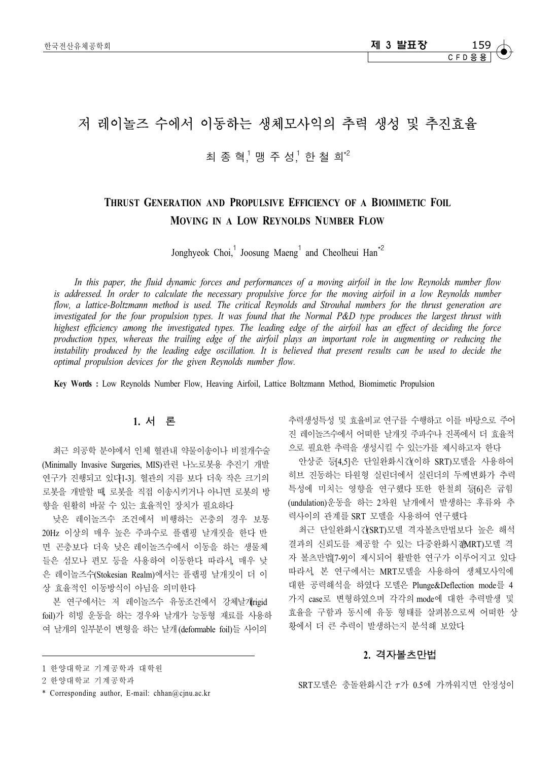# 저 레이놀즈 수에서 이동하는 생체모사익의 추력 생성 및 추진효율

## 최 종 혁,<sup>1</sup> 맹 주 성,<sup>1</sup> 한 철 희\*<sup>2</sup>

# **THRUST GENERATION AND PROPULSIVE EFFICIENCY OF A BIOMIMETIC FOIL MOVING IN A LOW REYNOLDS NUMBER FLOW**

Jonghyeok Choi,<sup>1</sup> Joosung Maeng<sup>1</sup> and Cheolheui Han<sup> $*2$ </sup>

*In this paper, the fluid dynamic forces and performances of a moving airfoil in the low Reynolds number flow is addressed. In order to calculate the necessary propulsive force for the moving airfoil in a low Reynolds number*  flow, a lattice-Boltzmann method is used. The critical Reynolds and Strouhal numbers for the thrust generation are *investigated for the four propulsion types. It was found that the Normal P&D type produces the largest thrust with highest efficiency among the investigated types. The leading edge of the airfoil has an effect of deciding the force production types, whereas the trailing edge of the airfoil plays an important role in augmenting or reducing the instability produced by the leading edge oscillation. It is believed that present results can be used to decide the optimal propulsion devices for the given Reynolds number flow.*

**Key Words :** Low Reynolds Number Flow, Heaving Airfoil, Lattice Boltzmann Method, Biomimetic Propulsion

### **1.** 서 론

최근 의공학 분야에서 인체 혈관내 약물이송이나 비절개수술 (Minimally Invasive Surgeries, MIS)관련 나노로봇용 추진기 개발 연구가 진행되고 있다[1-3]. 혈관의 지름 보다 더욱 작은 크기의 로봇을 개발할 때, 로봇을 직접 이송시키거나 아니면 로봇의 방 향을 원활히 바꿀 수 있는 효율적인 장치가 필요하다.

낮은 레이놀즈수 조건에서 비행하는 곤충의 경우 보통 20Hz 이상의 매우 높은 주파수로 플랩핑 날개짓을 한다. 반 면 곤충보다 더욱 낮은 레이놀즈수에서 이동을 하는 생물체 들은 섬모나 편모 등을 사용하여 이동한다. 따라서, 매우 낮 은 레이놀즈수(Stokesian Realm)에서는 플랩핑 날개짓이 더 이 상 효율적인 이동방식이 아님을 의미한다.

본 연구에서는 저 레이놀즈수 유동조건에서 강체날개rigid foil)가 히빙 운동을 하는 경우와 날개가 능동형 재료를 사용하 여 날개의 일부분이 변형을 하는 날개 (deformable foil)들 사이의

추력생성특성 및 효율비교 연구를 수행하고 이를 바탕으로 주어 진 레이놀즈수에서 어떠한 날개짓 주파수나 진폭에서 더 효율적 으로 필요한 추력을 생성시킬 수 있는가를 제시하고자 한다.

안상준 등[4,5]은 단일완화시간(이하 SRT)모델을 사용하여 히브 진동하는 타원형 실린더에서 실린더의 두께변화가 추력 특성에 미치는 영향을 연구했다 또한 한철희 등 이은 굽힘 (undulation)운동을 하는 2차원 날개에서 발생하는 후류와 추 력사이의 관계를 SRT 모델을 사용하여 연구했다.

최근 단일완화시간(SRT)모델 격자볼츠만법보다 높은 해석 결과의 신뢰도를 제공할 수 있는 다중완화시70MRT)모델 격 자 볼츠만법[7-9]이 제시되어 활발한 연구가 이루어지고 있다. 따라서, 본 연구에서는 MRT모델을 사용하여 생체모사익에 대한 공력해석을 하였다. 모델은 Plunge&Deflection mode를 4 가지 case로 변형하였으며 각각의 mode에 대한 추력발생 및 효율을 구함과 동시에 유동 형태를 살펴봄으로써 어떠한 상 황에서 더 큰 추력이 발생하는지 분석해 보았다.

### **2.** 격자볼츠만법

 $SRT$ 모델은 충돌완화시간  $\tau$ 가 0.5에 가까워지면 안정성이

<sup>1</sup> 한양대 학교 기계 공 학과 대 학원

<sup>2</sup> 한양대 학교 기계 공 학과

<sup>\*</sup> Corresponding author, E-mail: chhan@cjnu.ac.kr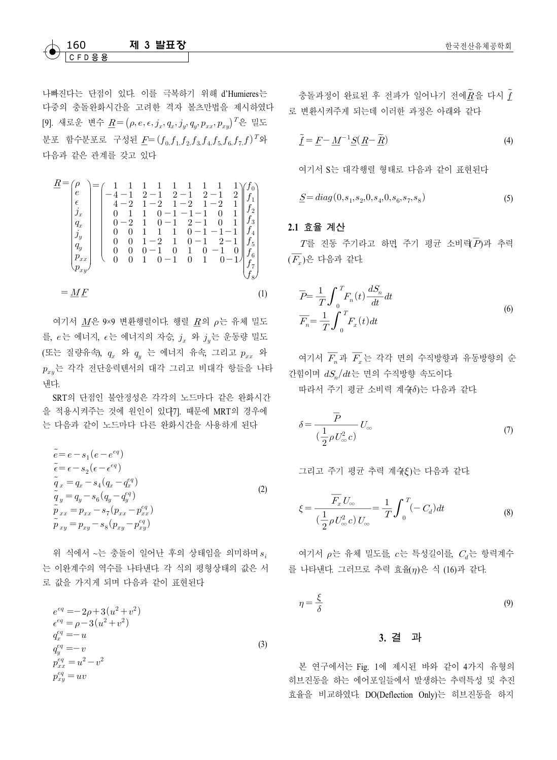### $M$  3 발표장 한국전산유체공학회 한국전산유체공학회 C F D 응 용

나빠진다는 단점이 있다. 이를 극복하기 위해 d'Humieres는 다중의 충돌완화시간을 고려한 격자 볼츠만법을 제시하였다 [9]. 새로운 변수  $\underline{R} = (\rho, e, \epsilon, j_x, q_x, j_y, q_y, p_{xx}, p_{xy})^T$ 은 밀도 분포 함수분포로 구성된 $\underline{F} = (f_{0,}f_{1,}f_{2,}f_{3,}f_{4,}f_{5,}f_{6,}f_{7,}f)^T$ 와 다음과 같은 관계를 갖고 있다.

$$
\underline{R} = \begin{pmatrix} \rho \\ e \\ e \\ f_x \\ g_x \\ g_y \\ g_y \\ g_y \\ g_y \\ g_y \end{pmatrix} = \begin{pmatrix} 1 & 1 & 1 & 1 & 1 & 1 & 1 & 1 \\ -4 & -1 & 2 & -1 & 2 & -1 & 2 & 1 \\ 4 & -2 & 1 & -2 & 1 & -2 & 1 & 2 \\ 1 & 1 & 0 & -1 & -1 & -1 & 0 & 1 \\ 0 & 1 & 1 & 0 & -1 & -1 & -1 & 0 & 1 \\ 0 & -2 & 1 & 0 & -1 & 2 & -1 & 0 & 1 \\ 0 & 0 & 1 & 1 & 1 & 0 & -1 & -1 & 1 \\ 0 & 0 & 0 & 1 & -2 & 1 & 0 & -1 & 2 & 1 \\ 0 & 0 & 0 & -1 & 0 & 1 & 0 & -1 & 0 \\ 0 & 0 & 1 & 0 & -1 & 0 & 1 & 0 & -1 \end{pmatrix} \begin{pmatrix} f_0 \\ f_1 \\ f_2 \\ f_3 \\ f_4 \\ f_5 \\ f_6 \\ f_7 \\ f_8 \end{pmatrix}
$$
\n
$$
= \underline{M} \underline{F} \tag{1}
$$

여기서  $\underline{M}$ 은 9×9 변환행렬이다. 행렬  $\underline{R}$ 의  $\rho$ 는 유체 밀도<br>- 너 신부가 나는 신부가인 기수 소 이 소노 오도라 만드 를,  $e$ 는 에너지,  $\epsilon$ 는 에너지의 자승,  $j_x$  와  $j_y$ 는 운동량 밀도 (또는 질량유속),  $q_x$  와  $q_y$  는 에너지 유속, 그리고  $p_{xx}$  와  $p_{xy}$ 는 각각 전단응력텐서의 대각 그리고 비대각 항들을 나타 낸다.

SRT의 단점인 불안정성은 각각의 노드마다 같은 완화시간 을 적용시켜주는 것에 원인이 있다7]. 때문에 MRT의 경우에 는 다음과 같이 노드마다 다른 완화시간을 사용하게 된다.

$$
\widetilde{e} = e - s_1 (e - e^{eq})
$$
\n
$$
\widetilde{\epsilon} = \epsilon - s_2 (\epsilon - \epsilon^{eq})
$$
\n
$$
\widetilde{q}_x = q_x - s_4 (q_x - q_x^{eq})
$$
\n
$$
\widetilde{q}_y = q_y - s_6 (q_y - q_y^{eq})
$$
\n
$$
\widetilde{p}_{xx} = p_{xx} - s_7 (p_{xx} - p_{xx}^{eq})
$$
\n
$$
\widetilde{p}_{xy} = p_{xy} - s_8 (p_{xy} - p_{xy}^{eq})
$$
\n(2)

위 식에서 ~는 충돌이 일어난 후의 상태임을 의미하며  $s_{i}$ 는 이완계수의 역수를 나타낸다. 각 식의 평형상태의 값은 서 를 나타낸다. 그러므로 추력 효율(η)은 식 (16)과 같다. 로 값을 가지게 되며 다음과 같이 표현된다.

$$
e^{eq} = -2\rho + 3(u^2 + v^2)
$$
  
\n
$$
e^{eq} = \rho - 3(u^2 + v^2)
$$
  
\n
$$
q_x^{eq} = -u
$$
  
\n
$$
q_y^{eq} = -v
$$
  
\n
$$
p_{xx}^{eq} = u^2 - v^2
$$
  
\n
$$
p_{xy}^{eq} = uv
$$
\n(3)

충돌과정이 완료된 후 전파가 일어나기 전에 $\tilde{R}$ 을 다시 $\tilde{f}$ ć 로 변환시켜주게 되는데 이러한 과정은 아래와 같다.

$$
\tilde{\underline{f}} = \underline{F} - \underline{M}^{-1} \underline{S} (\underline{R} - \underline{\widetilde{R}}) \tag{4}
$$

여기서 S는 대각행렬 형태로 다음과 같이 표현된다.

$$
\underline{S} = diag(0, s_1, s_2, 0, s_4, 0, s_6, s_7, s_8) \tag{5}
$$

#### **2.1** 효율 계산

 $T$ 를 진동 주기라고 하면 주기 평균 소비력 $\overline{P}$ )과 추력  $\overline{F_x}$ )은 다음과 같다.

$$
\overline{P} = \frac{1}{T} \int_0^T F_n(t) \frac{dS_n}{dt} dt
$$
\n
$$
\overline{F_n} = \frac{1}{T} \int_0^T F_x(t) dt
$$
\n(6)

여기서  $\overline{F_n}$ 과  $\overline{F_x}$ 는 각각 면의 수직방향과 유동방향의 순 간힘이며  $dS_n/dt$ 는 면의 수직방향 속도이다.

따라서 주기 평균 소비력 계슈 $\delta$ )는 다음과 같다.

றු이며 
$$
dS_n/dt
$$
는면의 수직방향 속도이다  
마라서 주기 평군 소비력 계ி(10)는 다음과 같은.  
\n
$$
\delta = \frac{\overline{P}}{(\frac{1}{2}\rho U_{\infty}^2 c)}U_{\infty}
$$
\n(7)

그리고 주기 평균 추력 계수(5)는 다음과 같다.

$$
(\frac{1}{2}\rho U_{\infty}^{2}c)
$$
  
\n
$$
\exists \vec{z} \in \vec{z}
$$
  
\n
$$
\vec{z} = \frac{\overline{F_{x}}U_{\infty}}{(\frac{1}{2}\rho U_{\infty}^{2}c)U_{\infty}} = \frac{1}{T}\int_{0}^{T}(-C_{d})dt
$$
 (8)

여기서  $\rho$ 는 유체 밀도를  $c$ 는 특성길이를,  $C$ ,는 항력계수

$$
\eta = \frac{\xi}{\delta} \tag{9}
$$

#### **3.** 결 과

본 연구에서는 Fig. 1에 제시된 바와 같이 4가지 유형의 히브진동을 하는 에어포일들에서 발생하는 추력특성 및 추진 효율을 비교하였다. DO(Deflection Only)는 히브진동을 하지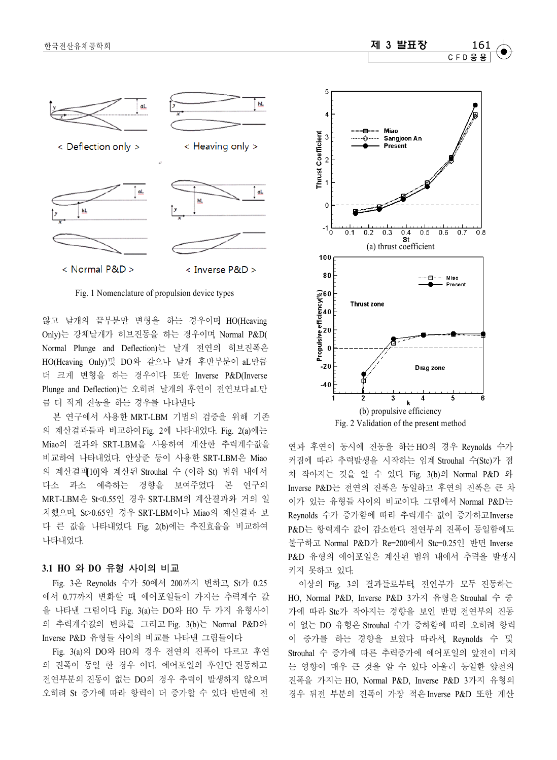

Fig. 1 Nomenclature of propulsion device types

않고 날개의 끝부분만 변형을 하는 경우이며, HO(Heaving Only)는 강체날개가 히브진동을 하는 경우이며, Normal P&D( Normal Plunge and Deflection)는 날개 전연의 히브진폭은 HO(Heaving Only)및 DO와 같으나 날개 후반부분이 aL만큼 더 크게 변형을 하는 경우이다. 또한 Inverse P&D(Inverse Plunge and Deflection)는 오히려 날개의 후연이 전연보다 aL만 큼 더 적게 진동을 하는 경우를 나타낸다.

본 연구에서 사용한 MRT-LBM 기법의 검증을 위해 기존 의 계산결과들과 비교하여 Fig. 2에 나타내었다. Fig. 2(a)에는 Miao의 결과와 SRT-LBM을 사용하여 계산한 추력계수값을 비교하여 나타내었다. 안상준 등이 사용한 SRT-LBM은 Miao 의 계산결과[10]와 계산된 Strouhal 수 (이하 St) 범위 내에서 다소 과소 예측하는 경향을 보여주었다. 본 연구의 MRT-LBM은 St<0.55인 경우 SRT-LBM의 계산결과와 거의 일 치했으며, St>0.65인 경우 SRT-LBM이나 Miao의 계산결과 보 다 큰 값을 나타내었다. Fig. 2(b)에는 추진효율을 비교하여 나타내었다.

#### **3.1 HO** 와 **DO** 유형 사이의 비교

Fig. 3은 Reynolds 수가 50에서 200까지 변하고, St가 0.25 에서 0.77까지 변화할 때, 에어포일들이 가지는 추력계수 값 을 나타낸 그림이다. Fig. 3(a)는 DO와 HO 두 가지 유형사이 의 추력계수값의 변화를 그리고 Fig. 3(b)는 Normal P&D와 Inverse P&D 유형들 사이의 비교를 나타낸 그림들이다.

Fig. 3(a)의 DO와 HO의 경우 전연의 진폭이 다르고 후연 의 진폭이 동일 한 경우 이다. 에어포일의 후연만 진동하고 전연부분의 진동이 없는 DO의 경우 추력이 발생하지 않으며 오히려 St 증가에 따라 항력이 더 증가할 수 있다. 반면에 전



연과 후연이 동시에 진동을 하는 HO의 경우 Reynolds 수가 커짐에 따라 추력발생을 시작하는 임계 Strouhal 수(Stc)가 점 차 작아지는 것을 알 수 있다. Fig. 3(b)의 Normal P&D 와 Inverse P&D는 전연의 진폭은 동일하고 후연의 진폭은 큰 차 이가 있는 유형들 사이의 비교이다. 그림에서 Normal P&D는 Reynolds 수가 증가함에 따라 추력계수 값이 증가하고 Inverse P&D는 항력계수 값이 감소한다. 전연부의 진폭이 동일함에도 불구하고 Normal P&D가 Re=200에서 Stc=0.25인 반면 Inverse P&D 유형의 에어포일은 계산된 범위 내에서 추력을 발생시 키지 못하고 있다.

이상의 Fig. 3의 결과들로부터, 전연부가 모두 진동하는 HO, Normal P&D, Inverse P&D 3가지 유형은 Strouhal 수 중 가에 따라 Stc가 작아지는 경향을 보인 반면, 전연부의 진동 이 없는 DO 유형은 Strouhal 수가 증하함에 따라 오히려 항력 이 증가를 하는 경향을 보였다. 따라서, Reynolds 수 및 Strouhal 수 증가에 따른 추력증가에 에어포일의 앞전이 미치 는 영향이 매우 큰 것을 알 수 있다. 아울러 동일한 앞전의 진폭을 가지는 HO, Normal P&D, Inverse P&D 3가지 유형의 경우 뒤전 부분의 진폭이 가장 적은 Inverse P&D 또한 계산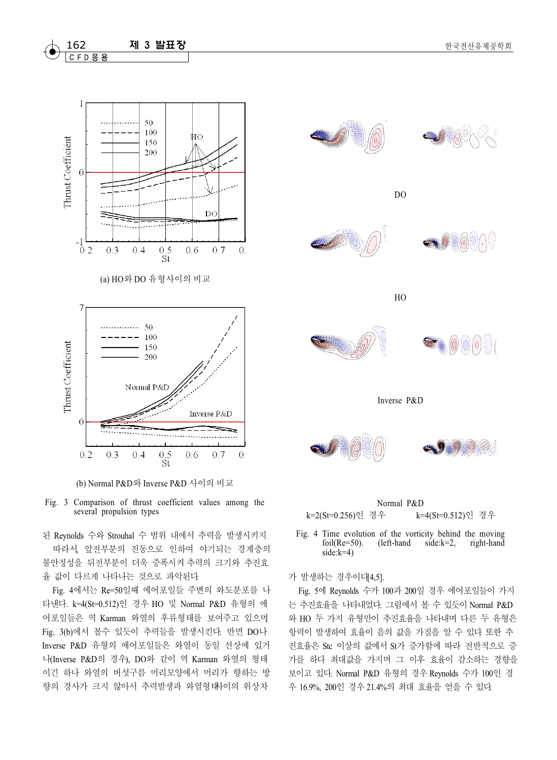

(b) Normal P&D와 Inverse P&D 사이의 비교



된 Reynolds 수와 Strouhal 수 범위 내에서 추력을 발생시키지 따라서, 앞전부분의 진동으로 인하여 야기되는 경계층의 불안정성을 뒤전부분이 더욱 증폭시켜 추력의 크기와 추진효 율 값이 다르게 나타나는 것으로 파악된다.

Fig. 4에서는 Re=50일때 에어포일들 주변의 와도분포를 나 타낸다. k=4(St=0.512)인 경우 HO 및 Normal P&D 유형의 에 어포일들은 역 Karman 와열의 후류형태를 보여주고 있으며 Fig. 3(b)에서 볼수 있듯이 추력들을 발생시킨다. 반면 DO나 Inverse P&D 유형의 에어포일들은 와열이 동일 선상에 있거 나(Inverse P&D의 경우), DO와 같이 역 Karman 와열의 형태 이긴 하나 와열의 버섯구름 머리모양에서 머리가 향하는 방 향의 경사가 크지 않아서 추력발생과 와열형태사이의 위상차



Normal P&D k=2(St=0.256)인 경우 k=4(St=0.512)인 경우

Fig. 4 Time evolution of the vorticity behind the moving<br>foil(Re=50). (left-hand side: $k=2$ , right-hand  $(left-hand)$ side:k=4)

가 발생하는 경우이다[4,5].

Fig. 5에 Reynolds 수가 100과 200일 경우 에어포일들이 가지 는 추진효율을 나타내었다. 그림에서 볼 수 있듯이 Normal P&D 와 HO 두 가지 유형만이 추진효율을 나타내며 다른 두 유형은 항력이 발생하여 효율이 음의 값을 가짐을 알 수 있다. 또한 추 진효율은 Stc 이상의 값에서 St가 증가함에 따라 전반적으로 증 가를 하다 최대값을 가지며 그 이후 효율이 감소하는 경향을 보이고 있다. Normal P&D 유형의 경우 Reynolds 수가 100인 경 우 16.9%, 200인 경우 21.4%의 최대 효율을 얻을 수 있다.